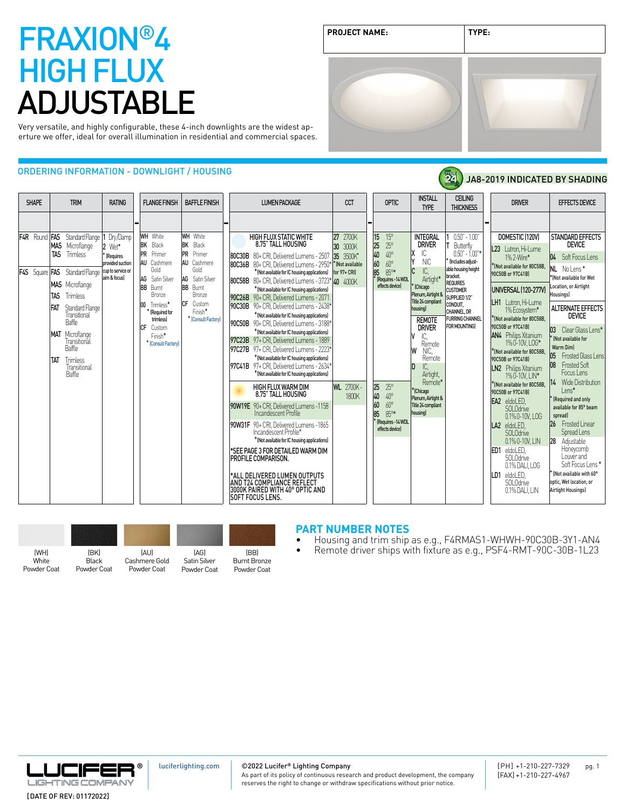| <b>PROJECT NAME:</b> | TYPE: |
|----------------------|-------|
|                      |       |

24

JA8-2019 INDICATED BY SHADING

Very versatile, and highly configurable, these 4-inch downlights are the widest aperture we offer, ideal for overall illumination in residential and commercial spaces.

### ORDERING INFORMATION - DOWNLIGHT / HOUSING

| <b>SHAPE</b>                                      | <b>TRIM</b>                                                                                                                                                                                                                                                                                                                     | <b>RATING</b>                                                                            | <b>FLANGE FINISH</b>                                                                                                                                                                                                                               | <b>BAFFLE FINISH</b>                                                                                                                                                                | <b>LUMEN PACKAGE</b>                                                                                                                                                                                                                                                                                                                                                                                                                                                                                                                                                                                                                                                                                                                                                                                                                                                                                                                                                                                                                                                                                                                                                                                                       | <b>CCT</b>                                                                                                      | <b>OPTIC</b>                                                                                                                                                                                                                                                  | <b>INSTALL</b>                                                                                                                                                                                                                                                                                                                                                     | <b>CEILING</b>                                                                                                                                                                                                                                                  | <b>DRIVER</b>                                                                                                                                                                                                                                                                                                                                                                                                                                                                                                                                                                                                                                                              | <b>EFFECTS DEVICE</b>                                                                                                                                                                                                                                                                                                                                                                                                                                                                                                                                                                              |
|---------------------------------------------------|---------------------------------------------------------------------------------------------------------------------------------------------------------------------------------------------------------------------------------------------------------------------------------------------------------------------------------|------------------------------------------------------------------------------------------|----------------------------------------------------------------------------------------------------------------------------------------------------------------------------------------------------------------------------------------------------|-------------------------------------------------------------------------------------------------------------------------------------------------------------------------------------|----------------------------------------------------------------------------------------------------------------------------------------------------------------------------------------------------------------------------------------------------------------------------------------------------------------------------------------------------------------------------------------------------------------------------------------------------------------------------------------------------------------------------------------------------------------------------------------------------------------------------------------------------------------------------------------------------------------------------------------------------------------------------------------------------------------------------------------------------------------------------------------------------------------------------------------------------------------------------------------------------------------------------------------------------------------------------------------------------------------------------------------------------------------------------------------------------------------------------|-----------------------------------------------------------------------------------------------------------------|---------------------------------------------------------------------------------------------------------------------------------------------------------------------------------------------------------------------------------------------------------------|--------------------------------------------------------------------------------------------------------------------------------------------------------------------------------------------------------------------------------------------------------------------------------------------------------------------------------------------------------------------|-----------------------------------------------------------------------------------------------------------------------------------------------------------------------------------------------------------------------------------------------------------------|----------------------------------------------------------------------------------------------------------------------------------------------------------------------------------------------------------------------------------------------------------------------------------------------------------------------------------------------------------------------------------------------------------------------------------------------------------------------------------------------------------------------------------------------------------------------------------------------------------------------------------------------------------------------------|----------------------------------------------------------------------------------------------------------------------------------------------------------------------------------------------------------------------------------------------------------------------------------------------------------------------------------------------------------------------------------------------------------------------------------------------------------------------------------------------------------------------------------------------------------------------------------------------------|
| <b>IF4R</b> Round<br><b>F4S</b> Square <b>FAS</b> | <b>FAS</b> Standard Flange<br><b>MAS</b> Microflange<br><b>TAS</b><br>Trimless<br>Standard Flange<br><b>MAS</b> Microflange<br>TAS<br>Trimless<br>FAT<br>Standard Flange<br>Transitional<br><b>Baffle</b><br><b>MAT</b> Microflange<br>Transitional<br><b>Baffle</b><br><b>TAT</b><br>Trimless<br>Transitional<br><b>Baffle</b> | Dry/Damp<br>2 Wet*<br>(Requires<br>provided suction<br>cup to service or<br>aim & focus) | <b>WH</b> White<br><b>BK</b> Black<br><b>PR</b><br>Primer<br><b>AU</b><br>Cashmere<br>Gold<br>AG Satin Silver<br><b>BB</b><br>Burnt<br>Bronze<br>Trimless*<br>loo<br>Required for<br>trimlessl<br>ICF.<br>Custom<br>Finish*<br>* [Consult Factory] | <b>WH</b> White<br><b>BK</b> Black<br><b>PR</b><br>Primer<br>AU Cashmere<br>Gold<br> AG<br>Satin Silver<br>BB<br>Burnt<br>Bronze<br>ICF<br>Custom<br>Finish*<br>* [Consult Factory] | <b>HIGH FLUX STATIC WHITE</b><br>8.75" TALL HOUSING<br><b>80C30B</b> 80+ CRI. Delivered Lumens - 2507<br><b>80C36B</b> 80+ CRI. Delivered Lumens - 2950*<br>*(Not available for IC housing applications)<br>80C58B 80+ CRI, Delivered Lumens - 3723* 40 4000K<br>* (Not available for IC housing applications)<br>90C26B 90+ CRI, Delivered Lumens - 2071<br>90C30B 90+ CRI, Delivered Lumens - 2438*<br>* (Not available for IC housing applications)<br>190C50B 90+ CRI. Delivered Lumens - 3188*<br>* (Not available for IC housing applications)<br>97C23B 97+ CRI, Delivered Lumens - 1889<br>97C27B 97+ CRI. Delivered Lumens - 2223*<br>* (Not available for IC housing applications)<br>197C41B 97+ CRI. Delivered Lumens - 2634*<br>*(Not available for IC housing applications)<br>HIGH FLUX WARM DIM<br>8.75" TALL HOUSING<br>90W19E 90+ CRI. Delivered Lumens -1158<br>Incandescent Profile<br>90W31F 90+ CRI. Delivered Lumens -1865<br>Incandescent Profile*<br>* (Not available for IC housing applications)<br>*SEE PAGE 3 FOR DETAILED WARM DIM<br><b>PROFILE COMPARISON.</b><br>*ALL DELIVERED LUMEN OUTPUTS<br>AND T24 COMPLIANCE REFLECT<br>3000K PAIRED WITH 40° OPTIC AND<br><b>ISOFT FOCUS LENS</b> | 27<br>2700K<br>30<br>3000K<br>35 3500K*<br>* (Not available<br>for 97+ CRI)<br><b>WL</b> 2700K-<br><b>1800K</b> | 15<br>$15^{\circ}$<br>25<br>$25^\circ$<br>40<br>40°<br>60<br>60°<br>85<br>$85^{\circ*}$<br>(Requires-14 WDL<br>effects device<br>25<br>$25^{\circ}$<br>40<br>$40^{\circ}$<br>$60^{\circ}$<br>60<br>85<br>$85^{\circ*}$<br>[Requires-14 WDL<br>effects device] | <b>TYPE</b><br><b>INTEGRAL</b><br><b>DRIVER</b><br>lχ<br>IC<br>l۷<br><b>NIC</b><br>Ic<br>IC.<br>Airtight*<br>(Chicago<br>Plenum, Airtight &<br>Title 24 compliant<br>housing)<br><b>REMOTE</b><br><b>DRIVER</b><br>IC,<br>Remote<br>NIC.<br>lW<br>Remote<br>ID<br>IC,<br>Airtight,<br>Remote*<br>*(Chicago<br>Plenum, Airtight &<br>Title 24 compliant<br>housinal | <b>THICKNESS</b><br>$0.50" - 1.00"$<br>Butterfly<br>$0.50" - 1.00"$<br>lincludes adiust-<br>able housing height<br>bracket.<br><b>REQUIRES</b><br><b>CUSTOMER</b><br>SUPPLIED 1/2"<br>CONDUIT.<br>CHANNEL, OR<br><b>FURRING CHANNEL</b><br><b>FOR MOUNTING)</b> | DOMESTIC (120V)<br>L23 Lutron, Hi-Lume<br>1% 2-Wire*<br>KNot available for 80C58B.<br>90C50B or 97C41BI<br><b>UNIVERSAL (120-277V)</b><br>LH1 Lutron. Hi-Lume<br>1% Ecosystem*<br>KNot available for 80C58B.<br>90C50B or 97C41BI<br>AN4 Philips Xitanium<br>1% 0-10V, LOG*<br>KNot available for 80C58B,<br>90C50B or 97C41BI<br><b>LN2</b> Philips Xitanium<br>1% 0-10V, LIN*<br>KNot available for 80C58B.<br>90C50B or 97C41BI<br>EA2 eldoLED,<br><b>SOLOdrive</b><br>0.1% 0-10V, LOG<br>eldoLED,<br>LA <sub>2</sub><br>SOI Odrive<br>0.1% 0-10V. LIN<br>ED <sub>1</sub><br>eldoLED.<br>SOLOdrive<br>0.1% DALI, LOG<br>eldoLED.<br>LD1<br>SOI Odrive<br>0.1% DALI. LIN | STANDARD EFFECTS<br><b>DEVICE</b><br>04 Soft Focus Lens<br>NL Nolens*<br>*(Not available for Wet<br>Location, or Airtight<br>Housings)<br><b>ALTERNATE EFFECTS</b><br><b>DEVICE</b><br>Clear Glass Lens*<br>[Not available for<br>Warm Diml<br>Frosted Glass Lens<br>05<br><b>Frosted Soft</b><br>108<br>Focus Lens<br>14 Wide Distribution<br>lens*<br>(Required and only<br>available for 85° beam<br>spread)<br>26 Frosted Linear<br>Spread Lens<br>28<br>Adjustable<br>Honeycomb<br>I ouver and<br>Soft Focus Lens*<br>Not available with 60°<br>optic. Wet location. or<br>Airtight Housings) |

| (WH)        | (BK)        | ÍAUÌ          | (AG)         | (BB)                |
|-------------|-------------|---------------|--------------|---------------------|
| White       | Black       | Cashmere Gold | Satin Silver | <b>Burnt Bronze</b> |
| Powder Coat | Powder Coat | Powder Coat   | Powder Coat  | Powder Coat         |

### **PART NUMBER NOTES**<br>• Housing and trim ship

• Housing and trim ship as e.g., F4RMAS1-WHWH-90C30B-3Y1-AN4

• Remote driver ships with fixture as e.g., PSF4-RMT-90C-30B-1L23



[luciferlighting.com](http://luciferlighting.com/)

©2022 Lucifer**®** Lighting Company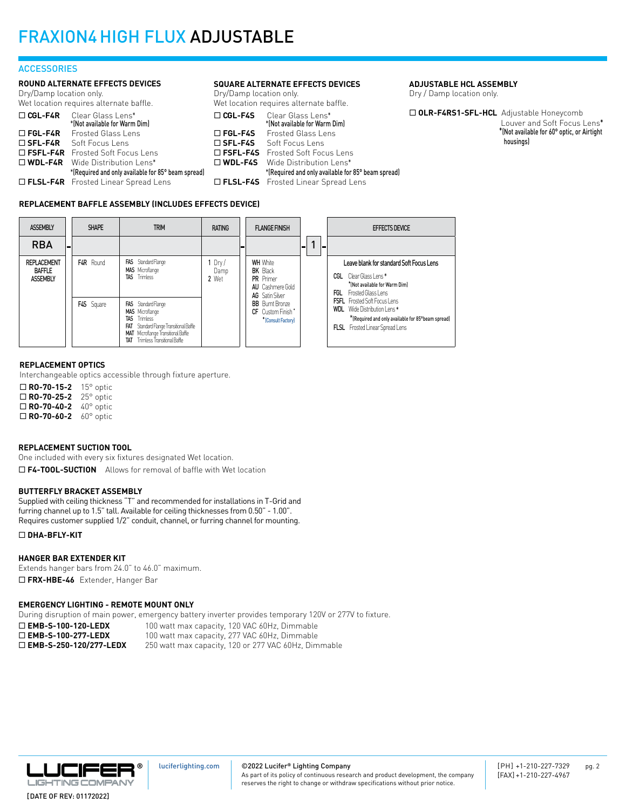#### **ACCESSORIES**

#### **ROUND ALTERNATE EFFECTS DEVICES**

Dry/Damp location only. Wet location requires alternate baffle.

|                   | <b>TICL LOCULIOII TUGGII CU ULLUI IIULU DUITLU.</b> | <b>v</b> v $\sim$ |
|-------------------|-----------------------------------------------------|-------------------|
| $\Box$ CGL-F4R    | Clear Glass Lens*                                   | Π(                |
|                   | *(Not available for Warm Dim)                       |                   |
| $\Box$ FGL-F4R    | Frosted Glass Lens                                  | ⊓∎                |
| $\square$ SFL-F4R | Soft Focus Lens                                     | ΠS                |
|                   | $\Box$ FSFL-F4R Frosted Soft Focus Lens             | □ Ⅰ               |
|                   | □ WDL-F4R Wide Distribution Lens*                   | п۱                |
|                   | *(Required and only available for 85° beam spread)  |                   |
|                   | <b>D FLSL-F4R</b> Frosted Linear Spread Lens        |                   |

#### **SQUARE ALTERNATE EFFECTS DEVICES**

Dry/Damp location only. Wet location requires alternate baffle.

| $\Box$ CGL-F4S    | Clear Glass Lens*                                  |
|-------------------|----------------------------------------------------|
|                   | *(Not available for Warm Dim)                      |
| $\Box$ FGL-F4S    | <b>Frosted Glass Lens</b>                          |
| $\square$ SFL-F4S | Soft Focus Lens                                    |
|                   | $\Box$ FSFL-F4S – Frosted Soft Focus Lens          |
|                   | $\square$ WDL-F4S Wide Distribution Lens*          |
|                   | *(Required and only available for 85° beam spread) |
|                   | □ FLSL-F4S Frosted Linear Spread Lens              |
|                   |                                                    |

#### **ADJUSTABLE HCL ASSEMBLY**

Dry / Damp location only.

□ OLR-F4RS1-SFL-HCL Adjustable Honeycomb Louver and Soft Focus Lens\* \*(Not available for 60° optic, or Airtight housings)

#### **REPLACEMENT BAFFLE ASSEMBLY (INCLUDES EFFECTS DEVICE)**



#### **REPLACEMENT OPTICS**

Interchangeable optics accessible through fixture aperture.

| $\Box$ RO-70-15-2 | $15^{\circ}$ optic |
|-------------------|--------------------|
| $\Box$ RO-70-25-2 | $25^{\circ}$ optic |
| $\Box$ RO-70-40-2 | $40^{\circ}$ optic |
| $\Box$ RO-70-60-2 | $60^\circ$ optic   |

#### **REPLACEMENT SUCTION TOOL**

One included with every six fixtures designated Wet location.

□ F4-TOOL-SUCTION Allows for removal of baffle with Wet location

#### **BUTTERFLY BRACKET ASSEMBLY**

Supplied with ceiling thickness "T" and recommended for installations in T-Grid and furring channel up to 1.5" tall. Available for ceiling thicknesses from 0.50" - 1.00". Requires customer supplied 1/2" conduit, channel, or furring channel for mounting.

#### ¨ **DHA-BFLY-KIT**

#### **HANGER BAR EXTENDER KIT**

Extends hanger bars from 24.0" to 46.0" maximum. □ FRX-HBE-46 Extender, Hanger Bar

#### **EMERGENCY LIGHTING - REMOTE MOUNT ONLY**

During disruption of main power, emergency battery inverter provides temporary 120V or 277V to fixture.

□ **EMB-S-100-120-LEDX** 100 watt max capacity, 120 VAC 60Hz, Dimmable <br>□ **EMB-S-100-277-LEDX** 100 watt max capacity, 277 VAC 60Hz, Dimmable 100 watt max capacity, 277 VAC 60Hz, Dimmable □ **EMB-S-250-120/277-LEDX** 250 watt max capacity, 120 or 277 VAC 60Hz, Dimmable



©2022 Lucifer**®** Lighting Company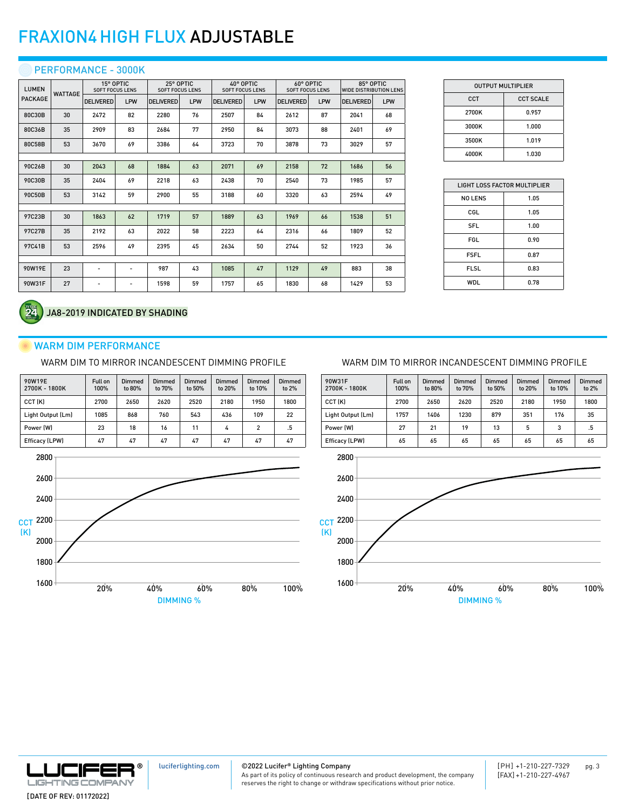#### **O PERFORMANCE - 3000K**

| <b>LUMEN</b>   | <b>WATTAGE</b> | 15° OPTIC<br><b>SOFT FOCUS LENS</b> |                          | 25° OPTIC<br><b>SOFT FOCUS LENS</b> |     | 40° OPTIC<br><b>SOFT FOCUS LENS</b> |     | 60° OPTIC<br><b>SOFT FOCUS LENS</b> |     | 85° OPTIC<br><b>WIDE DISTRIBUTION LENS</b> |     |
|----------------|----------------|-------------------------------------|--------------------------|-------------------------------------|-----|-------------------------------------|-----|-------------------------------------|-----|--------------------------------------------|-----|
| <b>PACKAGE</b> |                | <b>DELIVERED</b>                    | LPW                      | <b>DELIVERED</b>                    | LPW | <b>DELIVERED</b>                    | LPW | <b>DELIVERED</b>                    | LPW | <b>DELIVERED</b>                           | LPW |
| 80C30B         | 30             | 2472                                | 82                       | 2280                                | 76  | 2507                                | 84  | 2612                                | 87  | 2041                                       | 68  |
| 80C36B         | 35             | 2909                                | 83                       | 2684                                | 77  | 2950                                | 84  | 3073                                | 88  | 2401                                       | 69  |
| 80C58B         | 53             | 3670                                | 69                       | 3386                                | 64  | 3723                                | 70  | 3878                                | 73  | 3029                                       | 57  |
|                |                |                                     |                          |                                     |     |                                     |     |                                     |     |                                            |     |
| 90C26B         | 30             | 2043                                | 68                       | 1884                                | 63  | 2071                                | 69  | 2158                                | 72  | 1686                                       | 56  |
| 90C30B         | 35             | 2404                                | 69                       | 2218                                | 63  | 2438                                | 70  | 2540                                | 73  | 1985                                       | 57  |
| 90C50B         | 53             | 3142                                | 59                       | 2900                                | 55  | 3188                                | 60  | 3320                                | 63  | 2594                                       | 49  |
|                |                |                                     |                          |                                     |     |                                     |     |                                     |     |                                            |     |
| 97C23B         | 30             | 1863                                | 62                       | 1719                                | 57  | 1889                                | 63  | 1969                                | 66  | 1538                                       | 51  |
| 97C27B         | 35             | 2192                                | 63                       | 2022                                | 58  | 2223                                | 64  | 2316                                | 66  | 1809                                       | 52  |
| 97C41B         | 53             | 2596                                | 49                       | 2395                                | 45  | 2634                                | 50  | 2744                                | 52  | 1923                                       | 36  |
|                |                |                                     |                          |                                     |     |                                     |     |                                     |     |                                            |     |
| 90W19E         | 23             | $\overline{\phantom{a}}$            | $\overline{\phantom{a}}$ | 987                                 | 43  | 1085                                | 47  | 1129                                | 49  | 883                                        | 38  |
| 90W31F         | 27             | $\overline{\phantom{a}}$            | $\overline{\phantom{a}}$ | 1598                                | 59  | 1757                                | 65  | 1830                                | 68  | 1429                                       | 53  |

| <b>OUTPUT MULTIPLIER</b> |                  |  |  |  |  |  |
|--------------------------|------------------|--|--|--|--|--|
| <b>CCT</b>               | <b>CCT SCALE</b> |  |  |  |  |  |
| 2700K                    | 0.957            |  |  |  |  |  |
| 3000K                    | 1.000            |  |  |  |  |  |
| 3500K                    | 1.019            |  |  |  |  |  |
| 4000K                    | 1.030            |  |  |  |  |  |

| LIGHT LOSS FACTOR MULTIPLIER |      |  |  |  |  |  |
|------------------------------|------|--|--|--|--|--|
| <b>NO LENS</b>               | 1.05 |  |  |  |  |  |
| CGL                          | 1.05 |  |  |  |  |  |
| SFL                          | 1.00 |  |  |  |  |  |
| FGL                          | 0.90 |  |  |  |  |  |
| <b>FSFL</b>                  | 0.87 |  |  |  |  |  |
| <b>FLSL</b>                  | 0.83 |  |  |  |  |  |
| WDL                          | 0.78 |  |  |  |  |  |

#### JA8-2019 INDICATED BY SHADING

#### WARM DIM PERFORMANCE

WARM DIM TO MIRROR INCANDESCENT DIMMING PROFILE

| 90W19E<br>2700K - 1800K | Full on<br>100% | Dimmed<br>to 80% | Dimmed<br>to 70% | Dimmed<br>to 50% | <b>Dimmed</b><br>to 20% | <b>Dimmed</b><br>to 10% | Dimmed<br>to 2% |
|-------------------------|-----------------|------------------|------------------|------------------|-------------------------|-------------------------|-----------------|
| CCT (K)                 | 2700            | 2650             | 2620             | 2520             | 2180                    | 1950                    | 1800            |
| Light Output (Lm)       | 1085            | 868              | 760              | 543              | 436                     | 109                     | 22              |
| Power (W)               | 23              | 18               | 16               | 11               | 4                       | $\overline{2}$          | .5              |
| Efficacy (LPW)          | 47              | 47               | 47               | 47               | 47                      | 47                      | 47              |



#### WARM DIM TO MIRROR INCANDESCENT DIMMING PROFILE







[luciferlighting.com](http://luciferlighting.com/)

©2022 Lucifer**®** Lighting Company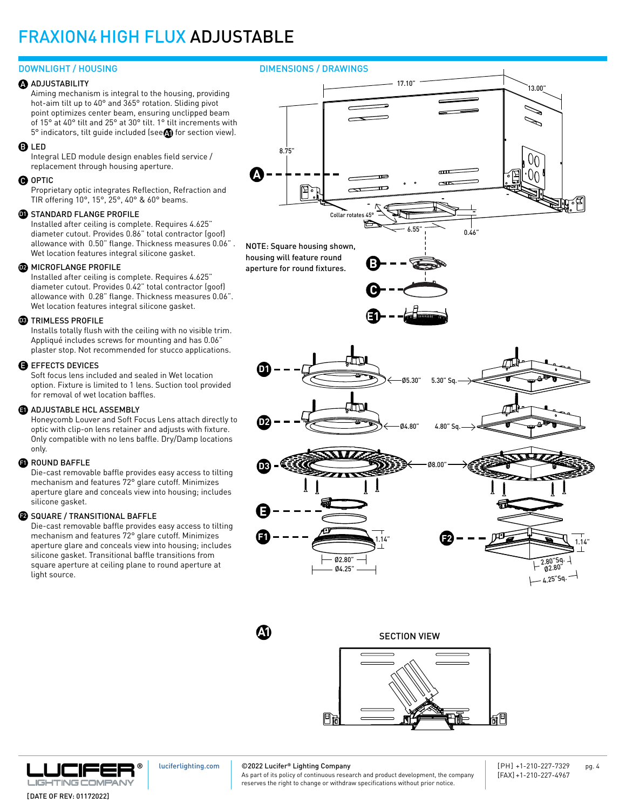#### **ADJUSTABILITY**

Aiming mechanism is integral to the housing, providing hot-aim tilt up to 40° and 365° rotation. Sliding pivot point optimizes center beam, ensuring unclipped beam of 15° at 40° tilt and 25° at 30° tilt. 1° tilt increments with  $5^{\circ}$  indicators, tilt guide included (see $\bigcirc$  for section view).

#### **B** LED

Integral LED module design enables field service / replacement through housing aperture.

#### **O** OPTIC

Proprietary optic integrates Reflection, Refraction and TIR offering 10°, 15°, 25°, 40° & 60° beams.

#### **D** STANDARD FLANGE PROFILE

Installed after ceiling is complete. Requires 4.625" diameter cutout. Provides 0.86" total contractor (goof) allowance with 0.50" flange. Thickness measures 0.06" . Wet location features integral silicone gasket.

#### **22** MICROFLANGE PROFILE

Installed after ceiling is complete. Requires 4.625" diameter cutout. Provides 0.42" total contractor (goof) allowance with 0.28" flange. Thickness measures 0.06". Wet location features integral silicone gasket.

#### **33** TRIMLESS PROFILE

Installs totally flush with the ceiling with no visible trim. Appliqué includes screws for mounting and has 0.06" plaster stop. Not recommended for stucco applications.

#### $\blacksquare$  EFFECTS DEVICES

Soft focus lens included and sealed in Wet location option. Fixture is limited to 1 lens. Suction tool provided for removal of wet location baffles.

#### **3** ADJUSTABLE HCL ASSEMBLY

Honeycomb Louver and Soft Focus Lens attach directly to optic with clip-on lens retainer and adjusts with fixture. Only compatible with no lens baffle. Dry/Damp locations only.

#### $\blacksquare$  ROUND BAFFLE

Die-cast removable baffle provides easy access to tilting mechanism and features 72° glare cutoff. Minimizes aperture glare and conceals view into housing; includes silicone gasket.

#### $\bullet$  SQUARE / TRANSITIONAL BAFFLE

Die-cast removable baffle provides easy access to tilting mechanism and features 72° glare cutoff. Minimizes aperture glare and conceals view into housing; includes silicone gasket. Transitional baffle transitions from square aperture at ceiling plane to round aperture at light source.





SECTION VIEW





[luciferlighting.com](http://luciferlighting.com/)

©2022 Lucifer**®** Lighting Company

[PH] +1-210-227-7329 pg. 4 [FAX] +1-210-227-4967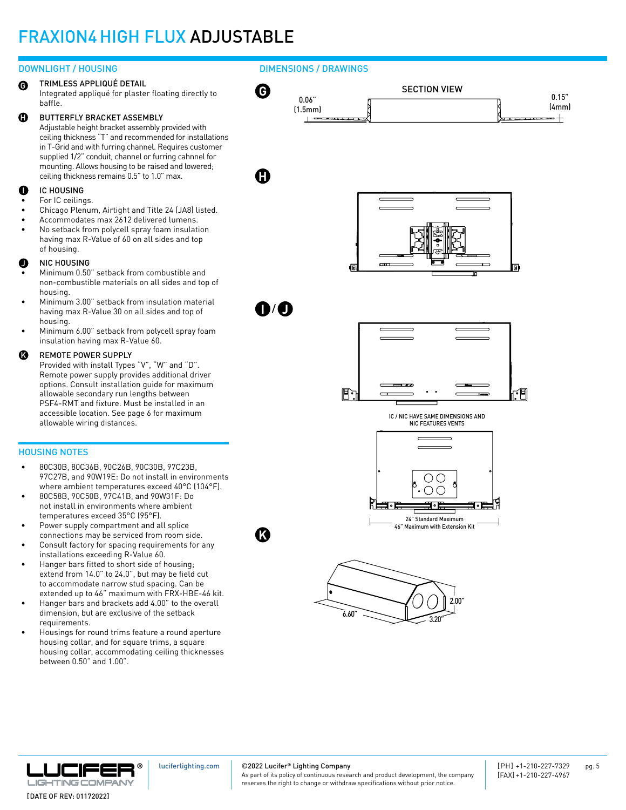#### DOWNLIGHT / HOUSING

TRIMLESS APPLIQUÉ DETAIL Integrated appliqué for plaster floating directly to baffle. G

#### BUTTERFLY BRACKET ASSEMBLY H

Adjustable height bracket assembly provided with ceiling thickness "T" and recommended for installations in T-Grid and with furring channel. Requires customer supplied 1/2" conduit, channel or furring cahnnel for mounting. Allows housing to be raised and lowered; ceiling thickness remains 0.5" to 1.0" max.

#### IC HOUSING I

- For IC ceilings.
- Chicago Plenum, Airtight and Title 24 (JA8) listed.
- Accommodates max 2612 delivered lumens.
- No setback from polycell spray foam insulation having max R-Value of 60 on all sides and top of housing.

#### NIC HOUSING J

- Minimum 0.50" setback from combustible and non-combustible materials on all sides and top of housing.
- Minimum 3.00" setback from insulation material having max R-Value 30 on all sides and top of housing.
- Minimum 6.00" setback from polycell spray foam insulation having max R-Value 60.

#### REMOTE POWER SUPPLY K

Provided with install Types "V", "W" and "D". Remote power supply provides additional driver options. Consult installation guide for maximum allowable secondary run lengths between PSF4-RMT and fixture. Must be installed in an accessible location. See page 6 for maximum allowable wiring distances.

#### HOUSING NOTES

- 80C30B, 80C36B, 90C26B, 90C30B, 97C23B, 97C27B, and 90W19E: Do not install in environments where ambient temperatures exceed 40°C (104°F).
- 80C58B, 90C50B, 97C41B, and 90W31F: Do not install in environments where ambient temperatures exceed 35°C (95°F).
- Power supply compartment and all splice connections may be serviced from room side.
- Consult factory for spacing requirements for any installations exceeding R-Value 60.
- Hanger bars fitted to short side of housing; extend from 14.0" to 24.0", but may be field cut to accommodate narrow stud spacing. Can be extended up to 46" maximum with FRX-HBE-46 kit.
- Hanger bars and brackets add 4.00" to the overall dimension, but are exclusive of the setback requirements.
- Housings for round trims feature a round aperture housing collar, and for square trims, a square housing collar, accommodating ceiling thicknesses between 0.50" and 1.00".







©2022 Lucifer**®** Lighting Company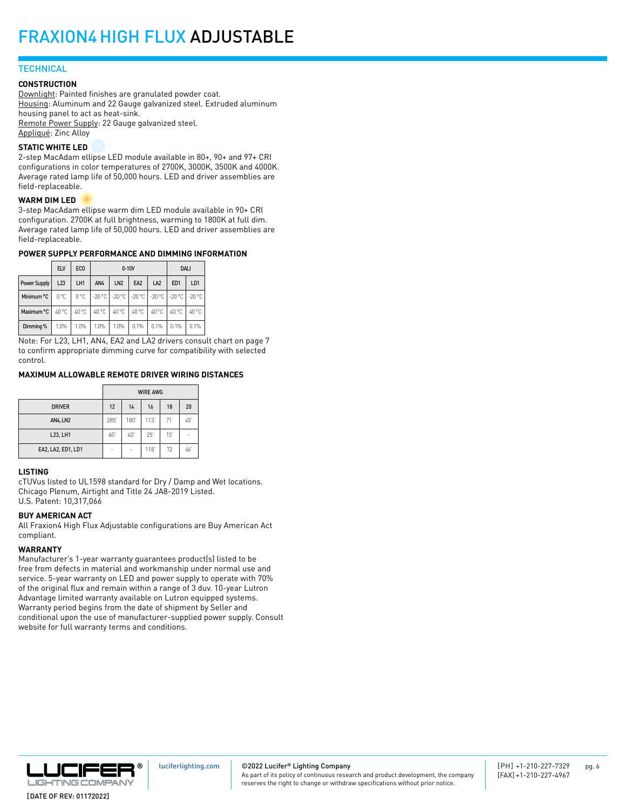#### **TECHNICAL**

#### **CONSTRUCTION**

Downlight: Painted finishes are granulated powder coat. Housing: Aluminum and 22 Gauge galvanized steel. Extruded aluminum housing panel to act as heat-sink. Remote Power Supply: 22 Gauge galvanized steel. Appliqué: Zinc Alloy

#### **STATIC WHITE LED**

2-step MacAdam ellipse LED module available in 80+, 90+ and 97+ CRI configurations in color temperatures of 2700K, 3000K, 3500K and 4000K. Average rated lamp life of 50,000 hours. LED and driver assemblies are field-replaceable.

#### **WARM DIM LED**

3-step MacAdam ellipse warm dim LED module available in 90+ CRI configuration. 2700K at full brightness, warming to 1800K at full dim. Average rated lamp life of 50,000 hours. LED and driver assemblies are field-replaceable.

#### **POWER SUPPLY PERFORMANCE AND DIMMING INFORMATION**

|              | <b>ELV</b>    | EC <sub>0</sub> |                                                 | $0-10V$         | <b>DALI</b>     |                 |                 |                 |
|--------------|---------------|-----------------|-------------------------------------------------|-----------------|-----------------|-----------------|-----------------|-----------------|
| Power Supply | L23           | LH1             | AN4                                             | LN <sub>2</sub> | EA <sub>2</sub> | LA <sub>2</sub> | ED <sub>1</sub> | LD <sub>1</sub> |
| Minimum °C   | $0^{\circ}$ C | 0°C             | 1-20 °C 1-20 °C 1-20 °C 1-20 °C 1-20 °C 1-20 °C |                 |                 |                 |                 |                 |
| Maximum °C   | 40 °C         | 40 °C           | 40 °C                                           | 40 °C           | 40 °C           | 40 °C           | 40 °C           | 40 °C           |
| Dimming %    | 1.0%          | 1.0%            | 1.0%                                            | 1.0%            | 0.1%            | 0.1%            | 0.1%            | 0.1%            |

Note: For L23, LH1, AN4, EA2 and LA2 drivers consult chart on page 7 to confirm appropriate dimming curve for compatibility with selected control.

#### **MAXIMUM ALLOWABLE REMOTE DRIVER WIRING DISTANCES**

|                    | <b>WIRE AWG</b> |      |            |     |    |  |  |
|--------------------|-----------------|------|------------|-----|----|--|--|
| <b>DRIVER</b>      | 12              | 14   | 16         | 18  | 20 |  |  |
| <b>AN4, LN2</b>    | 285             | 180' | 113'       | 71' | 45 |  |  |
| L23, LH1           | 60              | 40   | $25^\circ$ | 15  | -  |  |  |
| EA2, LA2, ED1, LD1 | ۰               | ۰    | 118        | 72  | 46 |  |  |

#### **LISTING**

cTUVus listed to UL1598 standard for Dry / Damp and Wet locations. Chicago Plenum, Airtight and Title 24 JA8-2019 Listed. U.S. Patent: 10,317,066

#### **BUY AMERICAN ACT**

All Fraxion4 High Flux Adjustable configurations are Buy American Act compliant.

#### **WARRANTY**

Manufacturer's 1-year warranty guarantees product(s) listed to be free from defects in material and workmanship under normal use and service. 5-year warranty on LED and power supply to operate with 70% of the original flux and remain within a range of 3 duv. 10-year Lutron Advantage limited warranty available on Lutron equipped systems. Warranty period begins from the date of shipment by Seller and conditional upon the use of manufacturer-supplied power supply. Consult website for full warranty terms and conditions.



#### ©2022 Lucifer**®** Lighting Company